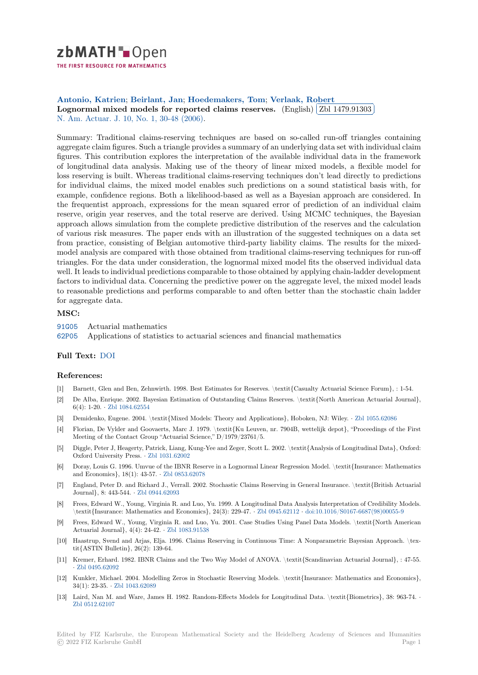# zbMATH Dpen

THE FIRST RESOURCE FOR MATHEMATICS

#### **Antonio, Katrien**; **Beirlant, Jan**; **Hoedemakers, Tom**; **Verlaak, Robert** ✄ **[L](https://zbmath.org/)ognormal mixed models for reported claims reserves.** (English)  $\boxed{\text{Zbl 1479.91303}}$ ĺ. ✁ N. Am. Actuar. J. 10, No. 1, 30-48 (2006).

[Summary: Tradition](https://zbmath.org/authors/?q=ai:antonio.katrien)[al claims-reserv](https://zbmath.org/authors/?q=ai:beirlant.jan)i[ng techniques are bas](https://zbmath.org/authors/?q=ai:hoedemakers.tom)e[d on so-called run](https://zbmath.org/authors/?q=ai:verlaak.robert)-off triangles containing [aggregate claim figures. Such a triangle provides a summary of an](https://zbmath.org/1479.91303) underlyin[g data set with indi](https://zbmath.org/1479.91303)vidual claim [figures. This contr](https://zbmath.org/journals/?q=se:3081)[ibution explores the int](https://zbmath.org/?q=in:473846)erpretation of the available individual data in the framework of longitudinal data analysis. Making use of the theory of linear mixed models, a flexible model for loss reserving is built. Whereas traditional claims-reserving techniques don't lead directly to predictions for individual claims, the mixed model enables such predictions on a sound statistical basis with, for example, confidence regions. Both a likelihood-based as well as a Bayesian approach are considered. In the frequentist approach, expressions for the mean squared error of prediction of an individual claim reserve, origin year reserves, and the total reserve are derived. Using MCMC techniques, the Bayesian approach allows simulation from the complete predictive distribution of the reserves and the calculation of various risk measures. The paper ends with an illustration of the suggested techniques on a data set from practice, consisting of Belgian automotive third-party liability claims. The results for the mixedmodel analysis are compared with those obtained from traditional claims-reserving techniques for run-off triangles. For the data under consideration, the lognormal mixed model fits the observed individual data well. It leads to individual predictions comparable to those obtained by applying chain-ladder development factors to individual data. Concerning the predictive power on the aggregate level, the mixed model leads to reasonable predictions and performs comparable to and often better than the stochastic chain ladder for aggregate data.

## **MSC:**

91G05 Actuarial mathematics

62P05 Applications of statistics to actuarial sciences and financial mathematics

## **Full Text:** DOI

#### **[Refer](https://zbmath.org/classification/?q=cc:62P05)ences:**

- [1] Barnett, Glen and Ben, Zehnwirth. 1998. Best Estimates for Reserves. \textit{Casualty Actuarial Science Forum}, : 1-54.
- [2] De Alba, [Enriq](https://dx.doi.org/10.1080/10920277.2006.10596238)ue. 2002. Bayesian Estimation of Outstanding Claims Reserves. \textit{North American Actuarial Journal}, 6(4): 1-20. *·* Zbl 1084.62554
- [3] Demidenko, Eugene. 2004. \textit{Mixed Models: Theory and Applications}, Hoboken, NJ: Wiley. *·* Zbl 1055.62086
- [4] Florian, De Vylder and Goovaerts, Marc J. 1979. \textit{Ku Leuven, nr. 7904B, wettelijk depot}, "Proceedings of the First Meeting of the Contact Group "Actuarial Science," D/1979/23761/5.
- [5] Diggle, Pete[r J, Heagerty, Pa](https://zbmath.org/1084.62554)trick, Liang, Kung-Yee and Zeger, Scott L. 2002. \textit{Analysis of Longitudinal Data}, Oxford: Oxford University Press. *·* Zbl 1031.62002
- [6] Doray, Louis G. 1996. Umvue of the IBNR Reserve in a Lognormal Linear Regression Model. \textit{Insurance: Mathematics and Economics}, 18(1): 43-57. *·* Zbl 0853.62078
- [7] England, Peter D. and Richard J., Verrall. 2002. Stochastic Claims Reserving in General Insurance. \textit{British Actuarial Journal}, 8: 443-544. *·* Zbl [0944.62093](https://zbmath.org/1031.62002)
- [8] Frees, Edward W., Young, Virginia R. and Luo, Yu. 1999. A Longitudinal Data Analysis Interpretation of Credibility Models. \textit{Insurance: Mathematics [and Economics](https://zbmath.org/0853.62078)}, 24(3): 229-47. *·* Zbl 0945.62112 *·* doi:10.1016/S0167-6687(98)00055-9
- [9] Frees, Edward W., Young, Virginia R. and Luo, Yu. 2001. Case Studies Using Panel Data Models. \textit{North American Actuarial Journal}, 4([4\): 24-42.](https://zbmath.org/0944.62093) *·* Zbl 1083.91538
- [10] Haastrup, Svend and Arjas, Elja. 1996. Claims Reserving in Continuous Time: A Nonparametric Bayesian Approach. \textit{ASTIN Bulletin}, 26(2): 139-64.
- [11] Kremer, Erhard. 1982. IBNR Claims and the Two Way Model of ANOVA. \textit{Scandinavian Actuarial Journal}, : 47-55. *·* Zbl 0495.62092
- [12] Kunkler, Michael. 2004. Modelling Zeros in Stochastic Reserving Models. \textit{Insurance: Mathematics and Economics}, 34(1): 23-35. *·* Zbl 1043.62089
- [13] Laird, Nan M. and Ware, James H. 1982. Random-Effects Models for Longitudinal Data. \textit{Biometrics}, 38: 963-74. *·* Z[bl 0512.62107](https://zbmath.org/0495.62092)